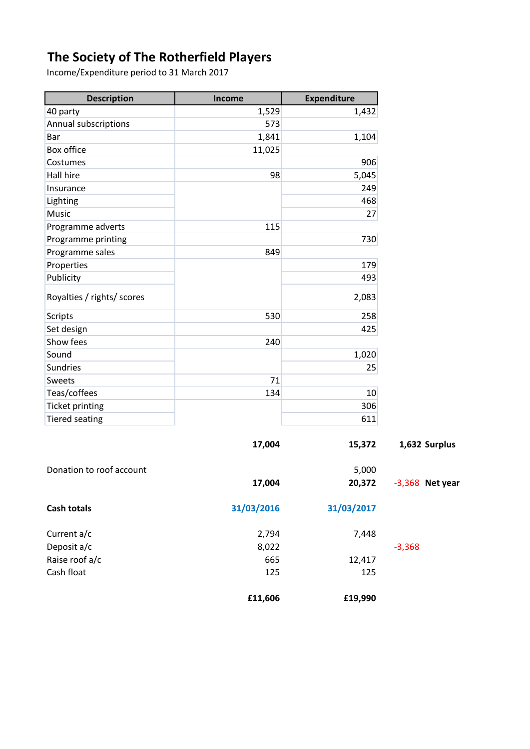## **The Society of The Rotherfield Players**

Income/Expenditure period to 31 March 2017

| <b>Description</b>         | Income     | <b>Expenditure</b> |
|----------------------------|------------|--------------------|
| 40 party                   | 1,529      | 1,432              |
| Annual subscriptions       | 573        |                    |
| Bar                        | 1,841      | 1,104              |
| Box office                 | 11,025     |                    |
| Costumes                   |            | 906                |
| Hall hire                  | 98         | 5,045              |
| Insurance                  |            | 249                |
| Lighting                   |            | 468                |
| Music                      |            | 27                 |
| Programme adverts          | 115        |                    |
| Programme printing         |            | 730                |
| Programme sales            | 849        |                    |
| Properties                 |            | 179                |
| Publicity                  |            | 493                |
| Royalties / rights/ scores |            | 2,083              |
| <b>Scripts</b>             | 530        | 258                |
| Set design                 |            | 425                |
| Show fees                  | 240        |                    |
| Sound                      |            | 1,020              |
| Sundries                   |            | 25                 |
| Sweets                     | 71         |                    |
| Teas/coffees               | 134        | 10 <sup>1</sup>    |
| <b>Ticket printing</b>     |            | 306                |
| <b>Tiered seating</b>      |            | 611                |
|                            | 17,004     | 15,372             |
| Donation to roof account   |            | 5,000              |
|                            | 17,004     | 20,372             |
| <b>Cash totals</b>         | 31/03/2016 | 31/03/2017         |
| Current a/c                | 2,794      | 7,448              |
| Deposit a/c                | 8,022      |                    |
| Raise roof a/c             | 665        | 12,417             |
|                            |            |                    |

**£11,606 £19,990**

**17,004 15,372 1,632 Surplus**

**Net year**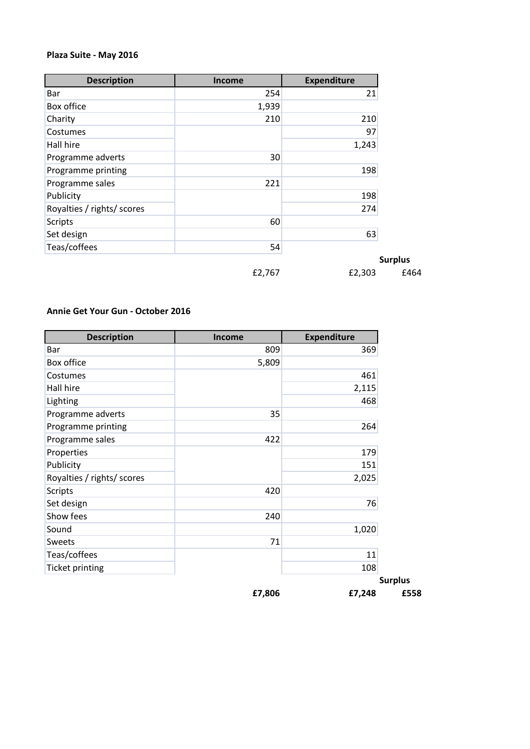## **Plaza Suite - May 2016**

| <b>Description</b>         | <b>Income</b> | <b>Expenditure</b> |
|----------------------------|---------------|--------------------|
| Bar                        | 254           | 21                 |
| Box office                 | 1,939         |                    |
| Charity                    | 210           | 210                |
| Costumes                   |               | 97                 |
| Hall hire                  |               | 1,243              |
| Programme adverts          | 30            |                    |
| Programme printing         |               | 198                |
| Programme sales            | 221           |                    |
| Publicity                  |               | 198                |
| Royalties / rights/ scores |               | 274                |
| <b>Scripts</b>             | 60            |                    |
| Set design                 |               | 63                 |
| Teas/coffees               | 54            |                    |
|                            |               |                    |

£2,767 £2,303 £464

**Surplus**

## **Annie Get Your Gun - October 2016**

| <b>Description</b>         | <b>Income</b> | <b>Expenditure</b> |
|----------------------------|---------------|--------------------|
| Bar                        | 809           | 369                |
| Box office                 | 5,809         |                    |
| Costumes                   |               | 461                |
| Hall hire                  |               | 2,115              |
| Lighting                   |               | 468                |
| Programme adverts          | 35            |                    |
| Programme printing         |               | 264                |
| Programme sales            | 422           |                    |
| Properties                 |               | 179                |
| Publicity                  |               | 151                |
| Royalties / rights/ scores |               | 2,025              |
| <b>Scripts</b>             | 420           |                    |
| Set design                 |               | 76                 |
| Show fees                  | 240           |                    |
| Sound                      |               | 1,020              |
| Sweets                     | 71            |                    |
| Teas/coffees               |               | 11                 |
| <b>Ticket printing</b>     |               | 108                |
|                            |               |                    |
|                            | £7,806        | £7,248             |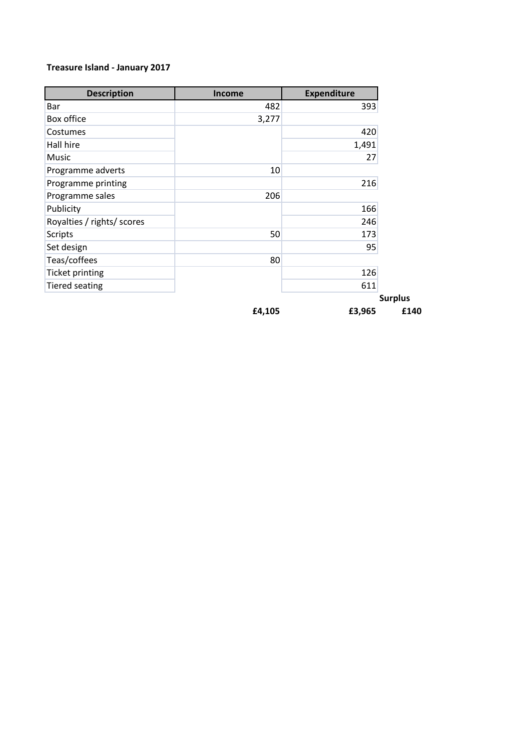## **Treasure Island - January 2017**

| <b>Description</b>         | <b>Income</b> | <b>Expenditure</b> |
|----------------------------|---------------|--------------------|
| Bar                        | 482           | 393                |
| Box office                 | 3,277         |                    |
| Costumes                   |               | 420                |
| Hall hire                  |               | 1,491              |
| Music                      |               | 27                 |
| Programme adverts          | 10            |                    |
| Programme printing         |               | 216                |
| Programme sales            | 206           |                    |
| Publicity                  |               | 166                |
| Royalties / rights/ scores |               | 246                |
| <b>Scripts</b>             | 50            | 173                |
| Set design                 |               | 95                 |
| Teas/coffees               | 80            |                    |
| <b>Ticket printing</b>     |               | 126                |
| <b>Tiered seating</b>      |               | 611                |
|                            |               | <b>Surplus</b>     |
|                            | £4,105        | £3,965             |